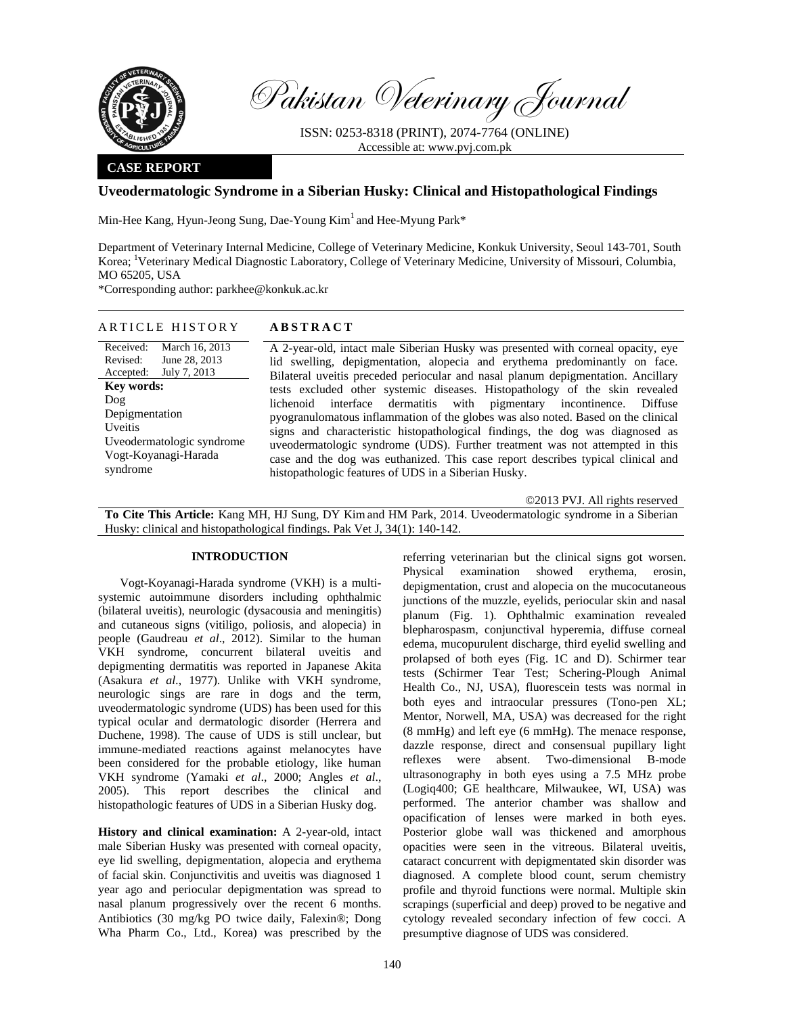

Pakistan Veterinary Journal

ISSN: 0253-8318 (PRINT), 2074-7764 (ONLINE) Accessible at: www.pvj.com.pk

### **CASE REPORT**

# **Uveodermatologic Syndrome in a Siberian Husky: Clinical and Histopathological Findings**

Min-Hee Kang, Hyun-Jeong Sung, Dae-Young Kim<sup>1</sup> and Hee-Myung Park\*

Department of Veterinary Internal Medicine, College of Veterinary Medicine, Konkuk University, Seoul 143-701, South Korea; <sup>1</sup>Veterinary Medical Diagnostic Laboratory, College of Veterinary Medicine, University of Missouri, Columbia, MO 65205, USA

\*Corresponding author: parkhee@konkuk.ac.kr

## ARTICLE HISTORY **ABSTRACT**

Received: Revised: Accepted: March 16, 2013 June 28, 2013 July 7, 2013 **Key words:**  Dog Depigmentation Uveitis Uveodermatologic syndrome Vogt-Koyanagi-Harada syndrome

 A 2-year-old, intact male Siberian Husky was presented with corneal opacity, eye lid swelling, depigmentation, alopecia and erythema predominantly on face. Bilateral uveitis preceded periocular and nasal planum depigmentation. Ancillary tests excluded other systemic diseases. Histopathology of the skin revealed lichenoid interface dermatitis with pigmentary incontinence. Diffuse pyogranulomatous inflammation of the globes was also noted. Based on the clinical signs and characteristic histopathological findings, the dog was diagnosed as uveodermatologic syndrome (UDS). Further treatment was not attempted in this case and the dog was euthanized. This case report describes typical clinical and histopathologic features of UDS in a Siberian Husky.

©2013 PVJ. All rights reserved

**To Cite This Article:** Kang MH, HJ Sung, DY Kim and HM Park, 2014. Uveodermatologic syndrome in a Siberian Husky: clinical and histopathological findings. Pak Vet J, 34(1): 140-142.

#### **INTRODUCTION**

Vogt-Koyanagi-Harada syndrome (VKH) is a multisystemic autoimmune disorders including ophthalmic (bilateral uveitis), neurologic (dysacousia and meningitis) and cutaneous signs (vitiligo, poliosis, and alopecia) in people (Gaudreau *et al*., 2012). Similar to the human VKH syndrome, concurrent bilateral uveitis and depigmenting dermatitis was reported in Japanese Akita (Asakura *et al.*, 1977). Unlike with VKH syndrome, neurologic sings are rare in dogs and the term, uveodermatologic syndrome (UDS) has been used for this typical ocular and dermatologic disorder (Herrera and Duchene, 1998). The cause of UDS is still unclear, but immune-mediated reactions against melanocytes have been considered for the probable etiology, like human VKH syndrome (Yamaki *et al*., 2000; Angles *et al*., 2005). This report describes the clinical and histopathologic features of UDS in a Siberian Husky dog.

**History and clinical examination:** A 2-year-old, intact male Siberian Husky was presented with corneal opacity, eye lid swelling, depigmentation, alopecia and erythema of facial skin. Conjunctivitis and uveitis was diagnosed 1 year ago and periocular depigmentation was spread to nasal planum progressively over the recent 6 months. Antibiotics (30 mg/kg PO twice daily, Falexin®; Dong Wha Pharm Co., Ltd., Korea) was prescribed by the referring veterinarian but the clinical signs got worsen. Physical examination showed erythema, erosin, depigmentation, crust and alopecia on the mucocutaneous junctions of the muzzle, eyelids, periocular skin and nasal planum (Fig. 1). Ophthalmic examination revealed blepharospasm, conjunctival hyperemia, diffuse corneal edema, mucopurulent discharge, third eyelid swelling and prolapsed of both eyes (Fig. 1C and D). Schirmer tear tests (Schirmer Tear Test; Schering-Plough Animal Health Co., NJ, USA), fluorescein tests was normal in both eyes and intraocular pressures (Tono-pen XL; Mentor, Norwell, MA, USA) was decreased for the right (8 mmHg) and left eye (6 mmHg). The menace response, dazzle response, direct and consensual pupillary light reflexes were absent. Two-dimensional B-mode ultrasonography in both eyes using a 7.5 MHz probe (Logiq400; GE healthcare, Milwaukee, WI, USA) was performed. The anterior chamber was shallow and opacification of lenses were marked in both eyes. Posterior globe wall was thickened and amorphous opacities were seen in the vitreous. Bilateral uveitis, cataract concurrent with depigmentated skin disorder was diagnosed. A complete blood count, serum chemistry profile and thyroid functions were normal. Multiple skin scrapings (superficial and deep) proved to be negative and cytology revealed secondary infection of few cocci. A presumptive diagnose of UDS was considered.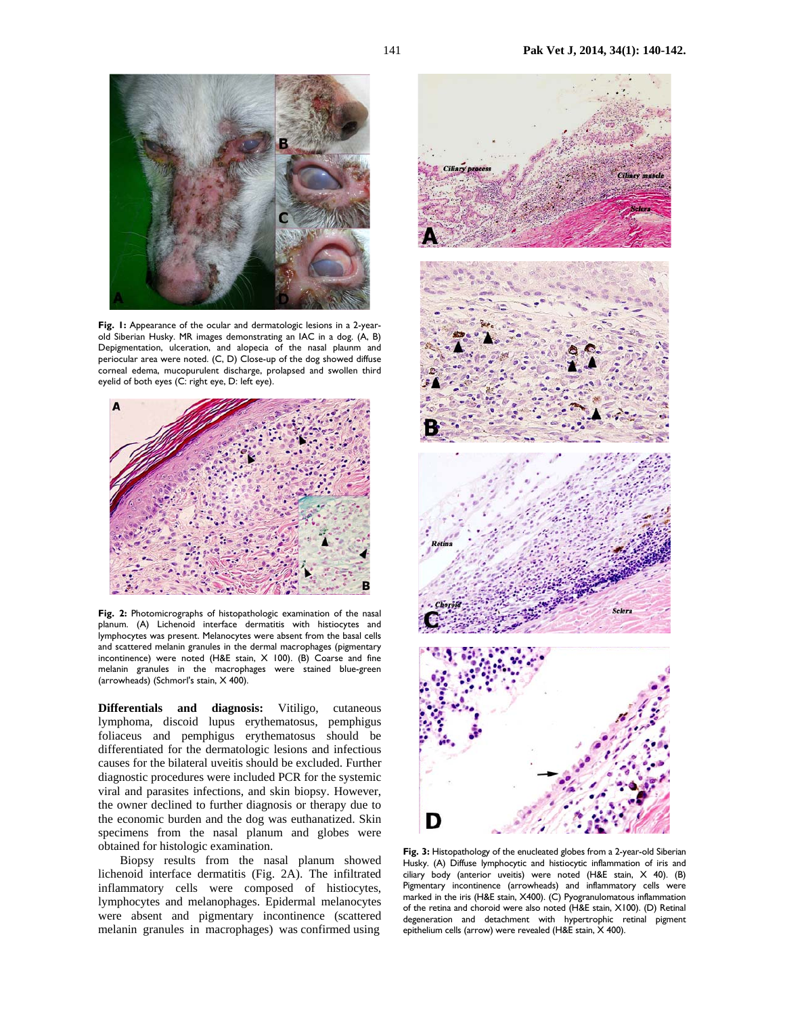

Fig. 1: Appearance of the ocular and dermatologic lesions in a 2-yearold Siberian Husky. MR images demonstrating an IAC in a dog. (A, B) Depigmentation, ulceration, and alopecia of the nasal plaunm and periocular area were noted. (C, D) Close-up of the dog showed diffuse corneal edema, mucopurulent discharge, prolapsed and swollen third eyelid of both eyes (C: right eye, D: left eye).



**Fig. 2:** Photomicrographs of histopathologic examination of the nasal planum. (A) Lichenoid interface dermatitis with histiocytes and lymphocytes was present. Melanocytes were absent from the basal cells and scattered melanin granules in the dermal macrophages (pigmentary incontinence) were noted (H&E stain, X 100). (B) Coarse and fine melanin granules in the macrophages were stained blue-green (arrowheads) (Schmorl's stain, X 400).

**Differentials and diagnosis:** Vitiligo, cutaneous lymphoma, discoid lupus erythematosus, pemphigus foliaceus and pemphigus erythematosus should be differentiated for the dermatologic lesions and infectious causes for the bilateral uveitis should be excluded. Further diagnostic procedures were included PCR for the systemic viral and parasites infections, and skin biopsy. However, the owner declined to further diagnosis or therapy due to the economic burden and the dog was euthanatized. Skin specimens from the nasal planum and globes were obtained for histologic examination.

Biopsy results from the nasal planum showed lichenoid interface dermatitis (Fig. 2A). The infiltrated inflammatory cells were composed of histiocytes, lymphocytes and melanophages. Epidermal melanocytes were absent and pigmentary incontinence (scattered melanin granules in macrophages) was confirmed using



**Fig. 3:** Histopathology of the enucleated globes from a 2-year-old Siberian Husky. (A) Diffuse lymphocytic and histiocytic inflammation of iris and ciliary body (anterior uveitis) were noted (H&E stain, X 40). (B) Pigmentary incontinence (arrowheads) and inflammatory cells were marked in the iris (H&E stain, X400). (C) Pyogranulomatous inflammation of the retina and choroid were also noted (H&E stain, X100). (D) Retinal degeneration and detachment with hypertrophic retinal pigment epithelium cells (arrow) were revealed (H&E stain, X 400).